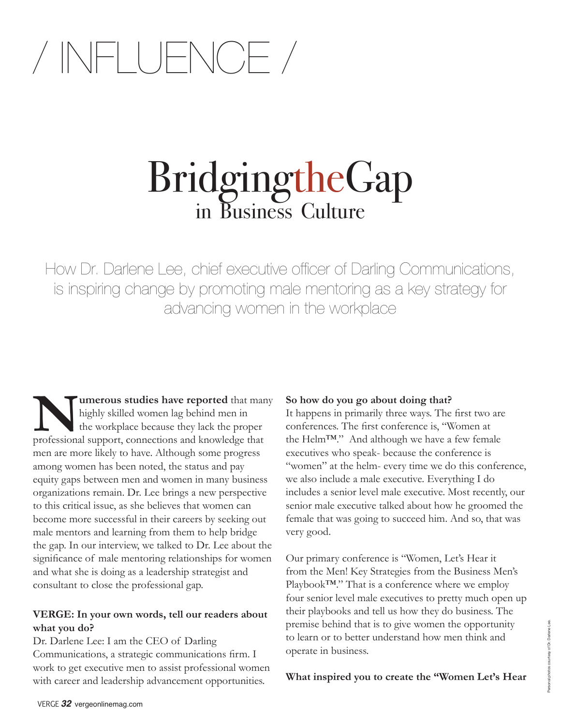## / INFLUENCE /

# BridgingtheGap<br>in Business Culture

How Dr. Darlene Lee, chief executive officer of Darling Communications, is inspiring change by promoting male mentoring as a key strategy for advancing women in the workplace

**Numerous studies have reported** that many highly skilled women lag behind men in the workplace because they lack the proper professional support, connections and knowledge that men are more likely to have. Although some progress among women has been noted, the status and pay equity gaps between men and women in many business organizations remain. Dr. Lee brings a new perspective to this critical issue, as she believes that women can become more successful in their careers by seeking out male mentors and learning from them to help bridge the gap. In our interview, we talked to Dr. Lee about the significance of male mentoring relationships for women and what she is doing as a leadership strategist and consultant to close the professional gap.

#### **VERGE: In your own words, tell our readers about what you do?**

Dr. Darlene Lee: I am the CEO of Darling Communications, a strategic communications firm. I work to get executive men to assist professional women with career and leadership advancement opportunities.

#### **So how do you go about doing that?**

It happens in primarily three ways. The first two are conferences. The first conference is, "Women at the Helm™." And although we have a few female executives who speak- because the conference is "women" at the helm- every time we do this conference, we also include a male executive. Everything I do includes a senior level male executive. Most recently, our senior male executive talked about how he groomed the female that was going to succeed him. And so, that was very good.

Our primary conference is "Women, Let's Hear it from the Men! Key Strategies from the Business Men's Playbook™." That is a conference where we employ four senior level male executives to pretty much open up their playbooks and tell us how they do business. The premise behind that is to give women the opportunity to learn or to better understand how men think and operate in business.

**What inspired you to create the "Women Let's Hear**